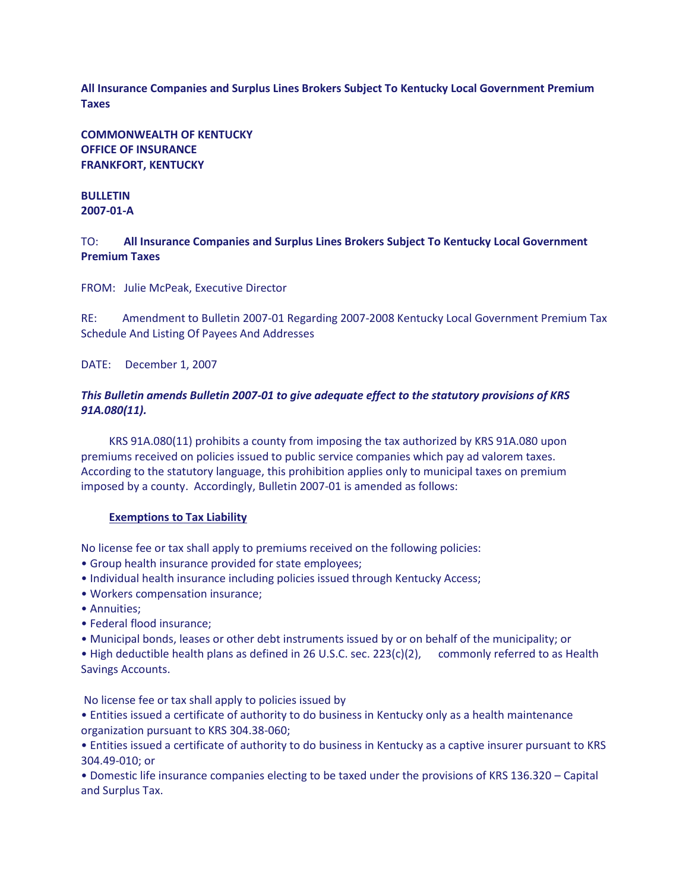**All Insurance Companies and Surplus Lines Brokers Subject To Kentucky Local Government Premium Taxes**

**COMMONWEALTH OF KENTUCKY OFFICE OF INSURANCE FRANKFORT, KENTUCKY**

## **BULLETIN 2007-01-A**

TO: **All Insurance Companies and Surplus Lines Brokers Subject To Kentucky Local Government Premium Taxes**

FROM: Julie McPeak, Executive Director

RE: Amendment to Bulletin 2007-01 Regarding 2007-2008 Kentucky Local Government Premium Tax Schedule And Listing Of Payees And Addresses

DATE: December 1, 2007

## *This Bulletin amends Bulletin 2007-01 to give adequate effect to the statutory provisions of KRS 91A.080(11).*

 KRS 91A.080(11) prohibits a county from imposing the tax authorized by KRS 91A.080 upon premiums received on policies issued to public service companies which pay ad valorem taxes. According to the statutory language, this prohibition applies only to municipal taxes on premium imposed by a county. Accordingly, Bulletin 2007-01 is amended as follows:

## **Exemptions to Tax Liability**

No license fee or tax shall apply to premiums received on the following policies:

- Group health insurance provided for state employees;
- Individual health insurance including policies issued through Kentucky Access;
- Workers compensation insurance;
- Annuities;
- Federal flood insurance;
- Municipal bonds, leases or other debt instruments issued by or on behalf of the municipality; or

• High deductible health plans as defined in 26 U.S.C. sec. 223(c)(2), commonly referred to as Health Savings Accounts.

No license fee or tax shall apply to policies issued by

• Entities issued a certificate of authority to do business in Kentucky only as a health maintenance organization pursuant to KRS 304.38-060;

• Entities issued a certificate of authority to do business in Kentucky as a captive insurer pursuant to KRS 304.49-010; or

• Domestic life insurance companies electing to be taxed under the provisions of KRS 136.320 – Capital and Surplus Tax.